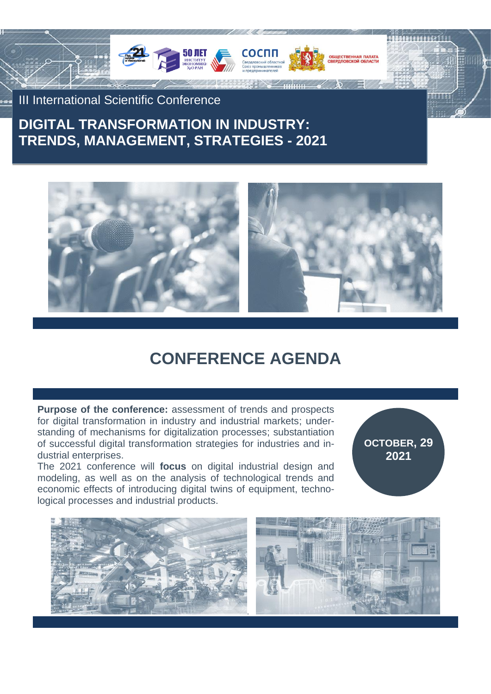

III International Scientific Conference

# **DIGITAL TRANSFORMATION IN INDUSTRY: TRENDS, MANAGEMENT, STRATEGIES - 2021**



# **CONFERENCE AGENDA**

**Purpose of the conference:** assessment of trends and prospects for digital transformation in industry and industrial markets; understanding of mechanisms for digitalization processes; substantiation of successful digital transformation strategies for industries and industrial enterprises.

The 2021 conference will **focus** on digital industrial design and modeling, as well as on the analysis of technological trends and economic effects of introducing digital twins of equipment, technological processes and industrial products.

**OCTOBER, 29 2021**

**HIIK Y** 

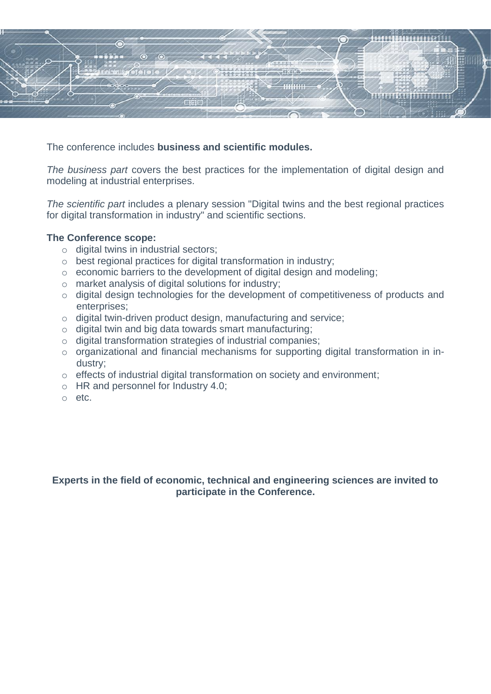

The conference includes **business and scientific modules.**

*The business part* covers the best practices for the implementation of digital design and modeling at industrial enterprises.

*The scientific part* includes a plenary session "Digital twins and the best regional practices for digital transformation in industry" and scientific sections.

### **The Conference scope:**

- o digital twins in industrial sectors;
- o best regional practices for digital transformation in industry;
- o economic barriers to the development of digital design and modeling;
- o market analysis of digital solutions for industry;
- o digital design technologies for the development of competitiveness of products and enterprises;
- o digital twin-driven product design, manufacturing and service;
- o digital twin and big data towards smart manufacturing;
- o digital transformation strategies of industrial companies;
- o organizational and financial mechanisms for supporting digital transformation in industry;
- o effects of industrial digital transformation on society and environment;
- o HR and personnel for Industry 4.0;
- o etc.

**Experts in the field of economic, technical and engineering sciences are invited to participate in the Conference.**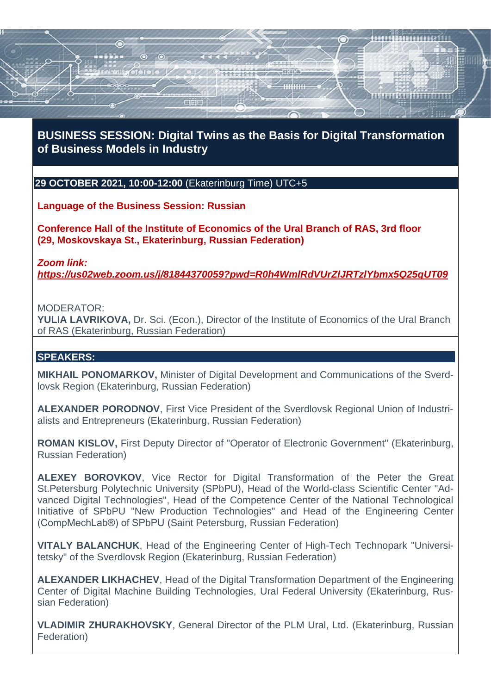# **BUSINESS SESSION: Digital Twins as the Basis for Digital Transformation of Business Models in Industry**

## **29 OCTOBER 2021, 10:00-12:00** (Ekaterinburg Time) UTC+5

**Language of the Business Session: Russian**

**Conference Hall of the Institute of Economics of the Ural Branch of RAS, 3rd floor (29, Moskovskaya St., Ekaterinburg, Russian Federation)**

#### *Zoom link:*

*<https://us02web.zoom.us/j/81844370059?pwd=R0h4WmlRdVUrZlJRTzlYbmx5Q25qUT09>*

#### MODERATOR:

**YULIA LAVRIKOVA,** Dr. Sci. (Econ.), Director of the Institute of Economics of the Ural Branch of RAS (Ekaterinburg, Russian Federation)

### **SPEAKERS:**

**MIKHAIL PONOMARKOV,** Minister of Digital Development and Communications of the Sverdlovsk Region (Ekaterinburg, Russian Federation)

**ALEXANDER PORODNOV**, First Vice President of the Sverdlovsk Regional Union of Industrialists and Entrepreneurs (Ekaterinburg, Russian Federation)

**ROMAN KISLOV,** First Deputy Director of "Operator of Electronic Government" (Ekaterinburg, Russian Federation)

**ALEXEY BOROVKOV**, Vice Rector for Digital Transformation of the Peter the Great St.Petersburg Polytechnic University (SPbPU), Head of the World-class Scientific Center "Advanced Digital Technologies", Head of the Competence Center of the National Technological Initiative of SPbPU "New Production Technologies" and Head of the Engineering Center (CompMechLab®) of SPbPU (Saint Petersburg, Russian Federation)

**VITALY BALANCHUK**, Head of the Engineering Center of High-Tech Technopark "Universitetsky" of the Sverdlovsk Region (Ekaterinburg, Russian Federation)

**ALEXANDER LIKHACHEV**, Head of the Digital Transformation Department of the Engineering Center of Digital Machine Building Technologies, Ural Federal University (Ekaterinburg, Russian Federation)

**VLADIMIR ZHURAKHOVSKY**, General Director of the PLM Ural, Ltd. (Ekaterinburg, Russian Federation)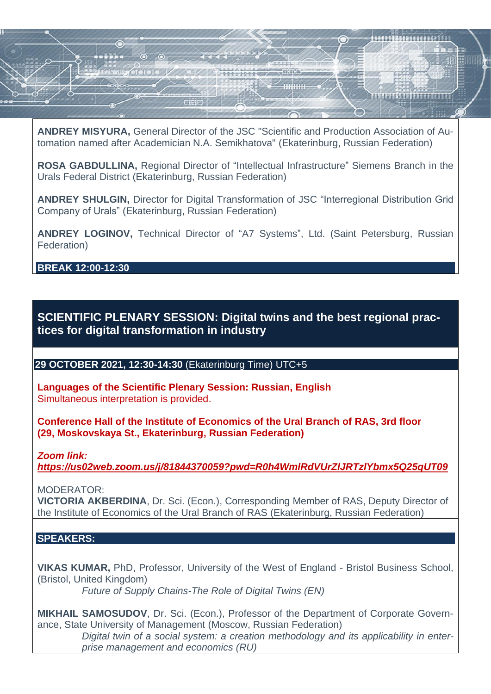**ANDREY MISYURA,** General Director of the JSC "Scientific and Production Association of Automation named after Academician N.A. Semikhatova" (Ekaterinburg, Russian Federation)

**ROSA GABDULLINA,** Regional Director of "Intellectual Infrastructure" Siemens Branch in the Urals Federal District (Ekaterinburg, Russian Federation)

**ANDREY SHULGIN,** Director for Digital Transformation of JSC "Interregional Distribution Grid Company of Urals" (Ekaterinburg, Russian Federation)

**ANDREY LOGINOV,** Technical Director of "A7 Systems", Ltd. (Saint Petersburg, Russian Federation)

**BREAK 12:00-12:30**

**SCIENTIFIC PLENARY SESSION: Digital twins and the best regional practices for digital transformation in industry**

## **29 OCTOBER 2021, 12:30-14:30** (Ekaterinburg Time) UTC+5

**Languages of the Scientific Plenary Session: Russian, English** Simultaneous interpretation is provided.

**Conference Hall of the Institute of Economics of the Ural Branch of RAS, 3rd floor (29, Moskovskaya St., Ekaterinburg, Russian Federation)**

*Zoom link:*

*<https://us02web.zoom.us/j/81844370059?pwd=R0h4WmlRdVUrZlJRTzlYbmx5Q25qUT09>*

MODERATOR:

**VICTORIA AKBERDINA**, Dr. Sci. (Econ.), Corresponding Member of RAS, Deputy Director of the Institute of Economics of the Ural Branch of RAS (Ekaterinburg, Russian Federation)

## **SPEAKERS:**

**VIKAS KUMAR,** PhD, Professor, University of the West of England - Bristol Business School, (Bristol, United Kingdom) *Future of Supply Chains-The Role of Digital Twins (EN)*

**MIKHAIL SAMOSUDOV**, Dr. Sci. (Econ.), Professor of the Department of Corporate Governance, State University of Management (Moscow, Russian Federation) *Digital twin of a social system: a creation methodology and its applicability in enterprise management and economics (RU)*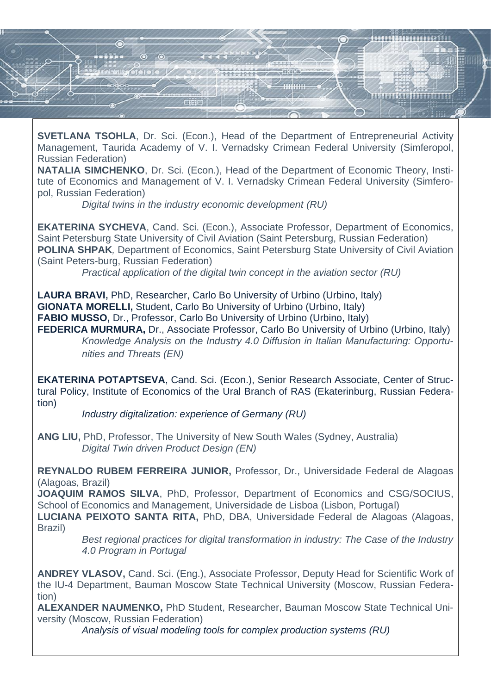

**SVETLANA TSOHLA**, Dr. Sci. (Econ.), Head of the Department of Entrepreneurial Activity Management, Taurida Academy of V. I. Vernadsky Crimean Federal University (Simferopol, Russian Federation)

**NATALIA SIMCHENKO**, Dr. Sci. (Econ.), Head of the Department of Economic Theory, Institute of Economics and Management of V. I. Vernadsky Crimean Federal University (Simferopol, Russian Federation)

*Digital twins in the industry economic development (RU)*

**EKATERINA SYCHEVA**, Cand. Sci. (Econ.), Associate Professor, Department of Economics, Saint Petersburg State University of Civil Aviation (Saint Petersburg, Russian Federation) **POLINA SHPAK***,* Department of Economics, Saint Petersburg State University of Civil Aviation (Saint Peters-burg, Russian Federation)

*Practical application of the digital twin concept in the aviation sector (RU)* 

**LAURA BRAVI,** PhD, Researcher, Carlo Bo University of Urbino (Urbino, Italy) **GIONATA MORELLI,** Student, Carlo Bo University of Urbino (Urbino, Italy) **FABIO MUSSO,** Dr., Professor, Carlo Bo University of Urbino (Urbino, Italy) **FEDERICA MURMURA, Dr., Associate Professor, Carlo Bo University of Urbino (Urbino, Italy)** *Knowledge Analysis on the Industry 4.0 Diffusion in Italian Manufacturing: Opportunities and Threats (EN)*

**EKATERINA POTAPTSEVA**, Cand. Sci. (Econ.), Senior Research Associate, Center of Structural Policy, Institute of Economics of the Ural Branch of RAS (Ekaterinburg, Russian Federation)

*Industry digitalization: experience of Germany (RU)* 

**ANG LIU,** PhD, Professor, The University of New South Wales (Sydney, Australia) *Digital Twin driven Product Design (EN)* 

**REYNALDO RUBEM FERREIRA JUNIOR,** Professor, Dr., Universidade Federal de Alagoas (Alagoas, Brazil)

**JOAQUIM RAMOS SILVA**, PhD, Professor, Department of Economics and CSG/SOCIUS, School of Economics and Management, Universidade de Lisboa (Lisbon, Portugal)

**LUCIANA PEIXOTO SANTA RITA,** PhD, DBA, Universidade Federal de Alagoas (Alagoas, Brazil)

*Best regional practices for digital transformation in industry: The Case of the Industry 4.0 Program in Portugal* 

**ANDREY VLASOV,** Cand. Sci. (Eng.), Associate Professor, Deputy Head for Scientific Work of the IU-4 Department, Bauman Moscow State Technical University (Moscow, Russian Federation)

**ALEXANDER NAUMENKO,** PhD Student, Researcher, Bauman Moscow State Technical University (Moscow, Russian Federation)

*Analysis of visual modeling tools for complex production systems (RU)*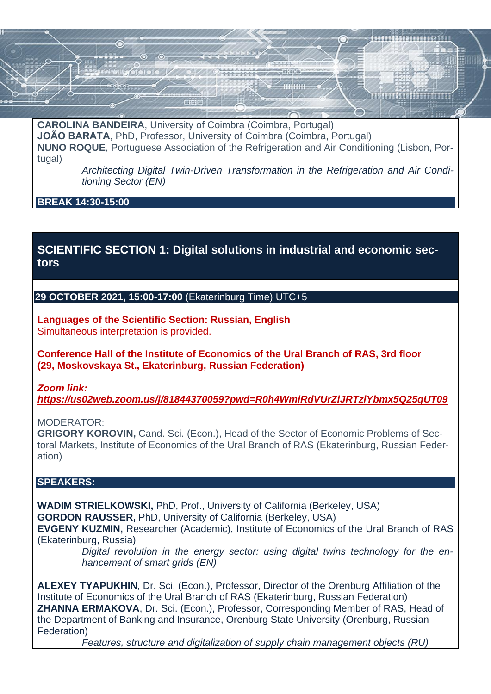**CAROLINA BANDEIRA**, University of Coimbra (Coimbra, Portugal) **JOÃO BARATA**, PhD, Professor, University of Coimbra (Coimbra, Portugal) **NUNO ROQUE**, Portuguese Association of the Refrigeration and Air Conditioning (Lisbon, Portugal)

> *Architecting Digital Twin-Driven Transformation in the Refrigeration and Air Conditioning Sector (EN)*

**BREAK 14:30-15:00**

# **SCIENTIFIC SECTION 1: Digital solutions in industrial and economic sectors**

**29 OCTOBER 2021, 15:00-17:00** (Ekaterinburg Time) UTC+5

**Languages of the Scientific Section: Russian, English** Simultaneous interpretation is provided.

**Conference Hall of the Institute of Economics of the Ural Branch of RAS, 3rd floor (29, Moskovskaya St., Ekaterinburg, Russian Federation)**

*Zoom link:*

*<https://us02web.zoom.us/j/81844370059?pwd=R0h4WmlRdVUrZlJRTzlYbmx5Q25qUT09>*

MODERATOR:

**GRIGORY KOROVIN,** Cand. Sci. (Econ.), Head of the Sector of Economic Problems of Sectoral Markets, Institute of Economics of the Ural Branch of RAS (Ekaterinburg, Russian Federation)

### **SPEAKERS:**

**WADIM STRIELKOWSKI,** PhD, Prof., University of California (Berkeley, USA) **GORDON RAUSSER,** PhD, University of California (Berkeley, USA) **EVGENY KUZMIN,** Researcher (Academic), Institute of Economics of the Ural Branch of RAS (Ekaterinburg, Russia)

> *Digital revolution in the energy sector: using digital twins technology for the enhancement of smart grids (EN)*

**ALEXEY TYAPUKHIN**, Dr. Sci. (Econ.), Professor, Director of the Orenburg Affiliation of the Institute of Economics of the Ural Branch of RAS (Ekaterinburg, Russian Federation) **ZHANNA ERMAKOVA**, Dr. Sci. (Econ.), Professor, Corresponding Member of RAS, Head of the Department of Banking and Insurance, Orenburg State University (Orenburg, Russian Federation)

*Features, structure and digitalization of supply chain management objects (RU)*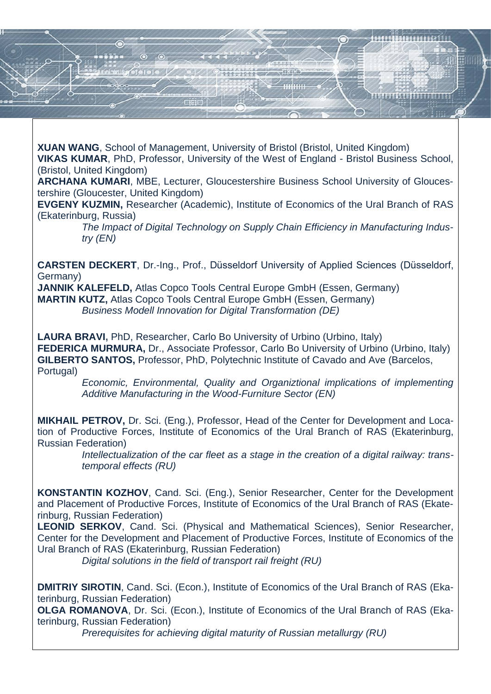**XUAN WANG**, School of Management, University of Bristol (Bristol, United Kingdom)

**VIKAS KUMAR**, PhD, Professor, University of the West of England - Bristol Business School, (Bristol, United Kingdom)

**ARCHANA KUMARI**, MBE, Lecturer, Gloucestershire Business School University of Gloucestershire (Gloucester, United Kingdom)

**EVGENY KUZMIN,** Researcher (Academic), Institute of Economics of the Ural Branch of RAS (Ekaterinburg, Russia)

> *The Impact of Digital Technology on Supply Chain Efficiency in Manufacturing Industry (EN)*

**CARSTEN DECKERT**, Dr.-Ing., Prof., Düsseldorf University of Applied Sciences (Düsseldorf, Germany)

**JANNIK KALEFELD,** Atlas Copco Tools Central Europe GmbH (Essen, Germany) **MARTIN KUTZ,** Atlas Copco Tools Central Europe GmbH (Essen, Germany)

*Business Modell Innovation for Digital Transformation (DE)*

**LAURA BRAVI,** PhD, Researcher, Carlo Bo University of Urbino (Urbino, Italy) **FEDERICA MURMURA, Dr., Associate Professor, Carlo Bo University of Urbino (Urbino, Italy) GILBERTO SANTOS,** Professor, PhD, Polytechnic Institute of Cavado and Ave (Barcelos, Portugal)

*Economic, Environmental, Quality and Organiztional implications of implementing Additive Manufacturing in the Wood-Furniture Sector (EN)* 

**MIKHAIL PETROV,** Dr. Sci. (Eng.), Professor, Head of the Center for Development and Location of Productive Forces, Institute of Economics of the Ural Branch of RAS (Ekaterinburg, Russian Federation)

*Intellectualization of the car fleet as a stage in the creation of a digital railway: transtemporal effects (RU)*

**KONSTANTIN KOZHOV**, Cand. Sci. (Eng.), Senior Researcher, Center for the Development and Placement of Productive Forces, Institute of Economics of the Ural Branch of RAS (Ekaterinburg, Russian Federation)

**LEONID SERKOV**, Cand. Sci. (Physical and Mathematical Sciences), Senior Researcher, Center for the Development and Placement of Productive Forces, Institute of Economics of the Ural Branch of RAS (Ekaterinburg, Russian Federation)

*Digital solutions in the field of transport rail freight (RU)*

**DMITRIY SIROTIN**, Cand. Sci. (Econ.), Institute of Economics of the Ural Branch of RAS (Ekaterinburg, Russian Federation)

**OLGA ROMANOVA**, Dr. Sci. (Econ.), Institute of Economics of the Ural Branch of RAS (Ekaterinburg, Russian Federation)

*Prerequisites for achieving digital maturity of Russian metallurgy (RU)*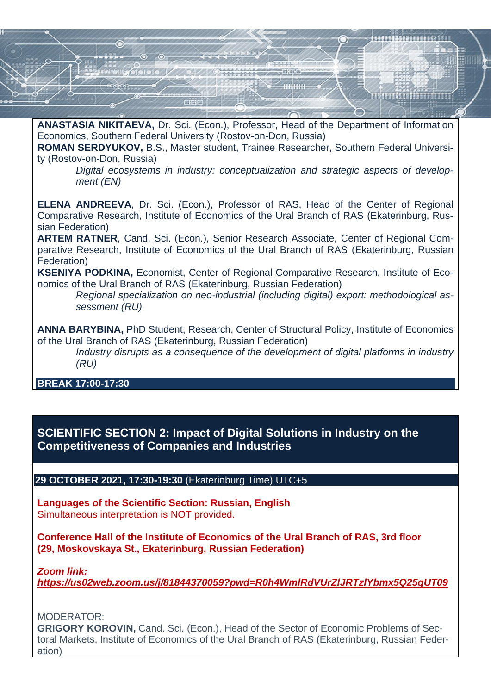

**ANASTASIA NIKITAEVA,** Dr. Sci. (Econ.), Professor, Head of the Department of Information Economics, Southern Federal University (Rostov-on-Don, Russia)

**ROMAN SERDYUKOV,** B.S., Master student, Trainee Researcher, Southern Federal University (Rostov-on-Don, Russia)

*Digital ecosystems in industry: conceptualization and strategic aspects of development (EN)* 

**ELENA ANDREEVA**, Dr. Sci. (Econ.), Professor of RAS, Head of the Center of Regional Comparative Research, Institute of Economics of the Ural Branch of RAS (Ekaterinburg, Russian Federation)

**ARTEM RATNER**, Cand. Sci. (Econ.), Senior Research Associate, Center of Regional Comparative Research, Institute of Economics of the Ural Branch of RAS (Ekaterinburg, Russian Federation)

**KSENIYA PODKINA,** Economist, Center of Regional Comparative Research, Institute of Economics of the Ural Branch of RAS (Ekaterinburg, Russian Federation)

*Regional specialization on neo-industrial (including digital) export: methodological assessment (RU)*

**ANNA BARYBINA,** PhD Student, Research, Center of Structural Policy, Institute of Economics of the Ural Branch of RAS (Ekaterinburg, Russian Federation)

*Industry disrupts as a consequence of the development of digital platforms in industry (RU)*

### **BREAK 17:00-17:30**

## **SCIENTIFIC SECTION 2: Impact of Digital Solutions in Industry on the Competitiveness of Companies and Industries**

#### **29 OCTOBER 2021, 17:30-19:30** (Ekaterinburg Time) UTC+5

**Languages of the Scientific Section: Russian, English** Simultaneous interpretation is NOT provided.

**Conference Hall of the Institute of Economics of the Ural Branch of RAS, 3rd floor (29, Moskovskaya St., Ekaterinburg, Russian Federation)**

*Zoom link:*

*<https://us02web.zoom.us/j/81844370059?pwd=R0h4WmlRdVUrZlJRTzlYbmx5Q25qUT09>*

MODERATOR:

**GRIGORY KOROVIN,** Cand. Sci. (Econ.), Head of the Sector of Economic Problems of Sectoral Markets, Institute of Economics of the Ural Branch of RAS (Ekaterinburg, Russian Federation)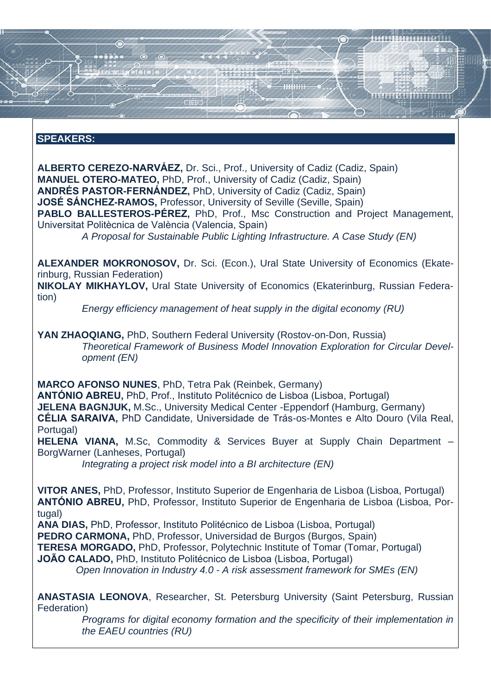### **SPEAKERS:**

**ALBERTO CEREZO-NARVÁEZ,** Dr. Sci., Prof., University of Cadiz (Cadiz, Spain) **MANUEL OTERO-MATEO,** PhD, Prof., University of Cadiz (Cadiz, Spain) **ANDRÉS PASTOR-FERNÁNDEZ,** PhD, University of Cadiz (Cadiz, Spain) **JOSÉ SÁNCHEZ-RAMOS,** Professor, University of Seville (Seville, Spain) **PABLO BALLESTEROS-PÉREZ,** PhD, Prof., Msc Construction and Project Management, Universitat Politècnica de València (Valencia, Spain) *A Proposal for Sustainable Public Lighting Infrastructure. A Case Study (EN)*

**ALEXANDER MOKRONOSOV,** Dr. Sci. (Econ.), Ural State University of Economics (Ekaterinburg, Russian Federation)

**NIKOLAY MIKHAYLOV,** Ural State University of Economics (Ekaterinburg, Russian Federation)

*Energy efficiency management of heat supply in the digital economy (RU)* 

**YAN ZHAOQIANG,** PhD, Southern Federal University (Rostov-on-Don, Russia) *Theoretical Framework of Business Model Innovation Exploration for Circular Development (EN)*

**MARCO AFONSO NUNES**, PhD, Tetra Pak (Reinbek, Germany) **ANTÓNIO ABREU,** PhD, Prof., Instituto Politécnico de Lisboa (Lisboa, Portugal) **JELENA BAGNJUK,** M.Sc., University Medical Center -Eppendorf (Hamburg, Germany) **CÉLIA SARAIVA,** PhD Candidate, Universidade de Trás-os-Montes e Alto Douro (Vila Real, Portugal)

**HELENA VIANA,** M.Sc, Commodity & Services Buyer at Supply Chain Department – BorgWarner (Lanheses, Portugal)

*Integrating a project risk model into a BI architecture (EN)*

**VITOR ANES,** PhD, Professor, Instituto Superior de Engenharia de Lisboa (Lisboa, Portugal) **ANTÓNIO ABREU,** PhD, Professor, Instituto Superior de Engenharia de Lisboa (Lisboa, Portugal)

**ANA DIAS,** PhD, Professor, Instituto Politécnico de Lisboa (Lisboa, Portugal)

**PEDRO CARMONA,** PhD, Professor, Universidad de Burgos (Burgos, Spain)

**TERESA MORGADO, PhD. Professor, Polytechnic Institute of Tomar (Tomar, Portugal)** 

**JOÃO CALADO,** PhD, Instituto Politécnico de Lisboa (Lisboa, Portugal)

*Open Innovation in Industry 4.0 - A risk assessment framework for SMEs (EN)*

**ANASTASIA LEONOVA**, Researcher, St. Petersburg University (Saint Petersburg, Russian Federation)

*Programs for digital economy formation and the specificity of their implementation in the EAEU countries (RU)*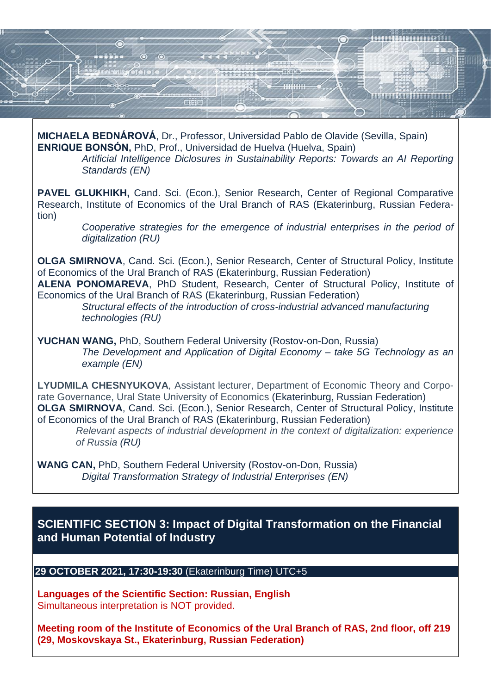

**MICHAELA BEDNÁROVÁ**, Dr., Professor, Universidad Pablo de Olavide (Sevilla, Spain) **ENRIQUE BONSÓN,** PhD, Prof., Universidad de Huelva (Huelva, Spain)

> *Artificial Intelligence Diclosures in Sustainability Reports: Towards an AI Reporting Standards (EN)*

PAVEL GLUKHIKH, Cand. Sci. (Econ.), Senior Research, Center of Regional Comparative Research, Institute of Economics of the Ural Branch of RAS (Ekaterinburg, Russian Federation)

*Cooperative strategies for the emergence of industrial enterprises in the period of digitalization (RU)*

**OLGA SMIRNOVA**, Cand. Sci. (Econ.), Senior Research, Center of Structural Policy, Institute of Economics of the Ural Branch of RAS (Ekaterinburg, Russian Federation)

**ALENA PONOMAREVA**, PhD Student, Research, Center of Structural Policy, Institute of Economics of the Ural Branch of RAS (Ekaterinburg, Russian Federation)

*Structural effects of the introduction of cross-industrial advanced manufacturing technologies (RU)*

**YUCHAN WANG,** PhD, Southern Federal University (Rostov-on-Don, Russia) *The Development and Application of Digital Economy – take 5G Technology as an example (EN)* 

**LYUDMILA CHESNYUKOVA***,* Assistant lecturer, Department of Economic Theory and Corporate Governance, Ural State University of Economics (Ekaterinburg, Russian Federation) **OLGA SMIRNOVA**, Cand. Sci. (Econ.), Senior Research, Center of Structural Policy, Institute of Economics of the Ural Branch of RAS (Ekaterinburg, Russian Federation)

*Relevant aspects of industrial development in the context of digitalization: experience of Russia (RU)*

**WANG CAN,** PhD, Southern Federal University (Rostov-on-Don, Russia) *Digital Transformation Strategy of Industrial Enterprises (EN)* 

# **SCIENTIFIC SECTION 3: Impact of Digital Transformation on the Financial and Human Potential of Industry**

**29 OCTOBER 2021, 17:30-19:30** (Ekaterinburg Time) UTC+5

**Languages of the Scientific Section: Russian, English** Simultaneous interpretation is NOT provided.

**Meeting room of the Institute of Economics of the Ural Branch of RAS, 2nd floor, off 219 (29, Moskovskaya St., Ekaterinburg, Russian Federation)**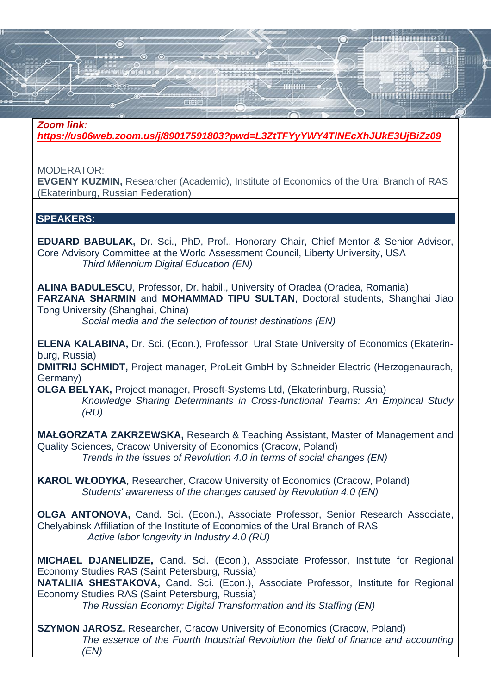#### *Zoom link:*

*<https://us06web.zoom.us/j/89017591803?pwd=L3ZtTFYyYWY4TlNEcXhJUkE3UjBiZz09>*

MODERATOR:

**EVGENY KUZMIN,** Researcher (Academic), Institute of Economics of the Ural Branch of RAS (Ekaterinburg, Russian Federation)

### **SPEAKERS:**

**EDUARD BABULAK,** Dr. Sci., PhD, Prof., Honorary Chair, Chief Mentor & Senior Advisor, Core Advisory Committee at the World Assessment Council, Liberty University, USA *Third Milennium Digital Education (EN)*

**ALINA BADULESCU**, Professor, Dr. habil., University of Oradea (Oradea, Romania) **FARZANA SHARMIN** and **MOHAMMAD TIPU SULTAN**, Doctoral students, Shanghai Jiao Tong University (Shanghai, China)

*Social media and the selection of tourist destinations (EN)*

**ELENA KALABINA,** Dr. Sci. (Econ.), Professor, Ural State University of Economics (Ekaterinburg, Russia)

**DMITRIJ SCHMIDT,** Project manager, ProLeit GmbH by Schneider Electric (Herzogenaurach, Germany)

**OLGA BELYAK,** Project manager, Prosoft-Systems Ltd, (Ekaterinburg, Russia) *Knowledge Sharing Determinants in Cross-functional Teams: An Empirical Study (RU)*

**MAŁGORZATA ZAKRZEWSKA,** Research & Teaching Assistant, Master of Management and Quality Sciences, Cracow University of Economics (Cracow, Poland) *Trends in the issues of Revolution 4.0 in terms of social changes (EN)*

**KAROL WŁODYKA,** Researcher, Cracow University of Economics (Cracow, Poland) *Students' awareness of the changes caused by Revolution 4.0 (EN)*

**OLGA ANTONOVA,** Cand. Sci. (Econ.), Associate Professor, Senior Research Associate, Chelyabinsk Affiliation of the Institute of Economics of the Ural Branch of RAS *Active labor longevity in Industry 4.0 (RU)*

**MICHAEL DJANELIDZE,** Cand. Sci. (Econ.), Associate Professor, Institute for Regional Economy Studies RAS (Saint Petersburg, Russia)

**NATALIIA SHESTAKOVA,** Cand. Sci. (Econ.), Associate Professor, Institute for Regional Economy Studies RAS (Saint Petersburg, Russia)

*The Russian Economy: Digital Transformation and its Staffing (EN)*

**SZYMON JAROSZ,** Researcher, Cracow University of Economics (Cracow, Poland) *The essence of the Fourth Industrial Revolution the field of finance and accounting (EN)*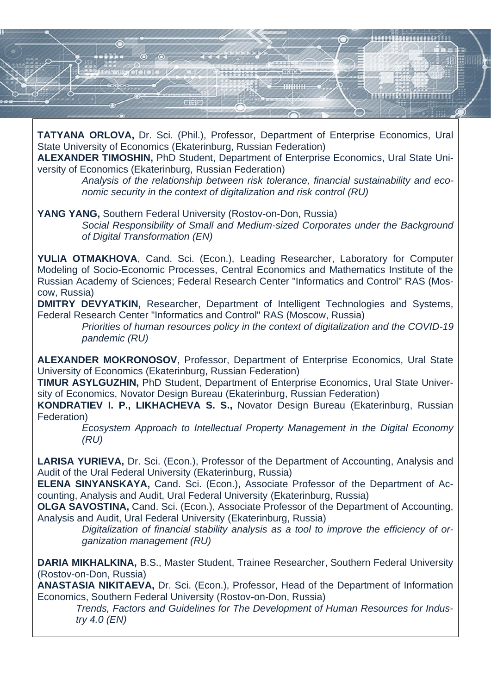

**TATYANA ORLOVA,** Dr. Sci. (Phil.), Professor, Department of Enterprise Economics, Ural State University of Economics (Ekaterinburg, Russian Federation)

**ALEXANDER TIMOSHIN,** PhD Student, Department of Enterprise Economics, Ural State University of Economics (Ekaterinburg, Russian Federation)

*Analysis of the relationship between risk tolerance, financial sustainability and economic security in the context of digitalization and risk control (RU)*

**YANG YANG,** Southern Federal University (Rostov-on-Don, Russia) *Social Responsibility of Small and Medium-sized Corporates under the Background of Digital Transformation (EN)*

**YULIA OTMAKHOVA**, Cand. Sci. (Econ.), Leading Researcher, Laboratory for Computer Modeling of Socio-Economic Processes, Central Economics and Mathematics Institute of the Russian Academy of Sciences; Federal Research Center "Informatics and Control" RAS (Moscow, Russia)

**DMITRY DEVYATKIN,** Researcher, Department of Intelligent Technologies and Systems, Federal Research Center "Informatics and Control" RAS (Moscow, Russia)

*Priorities of human resources policy in the context of digitalization and the COVID-19 pandemic (RU)* 

**ALEXANDER MOKRONOSOV**, Professor, Department of Enterprise Economics, Ural State University of Economics (Ekaterinburg, Russian Federation)

**TIMUR ASYLGUZHIN,** PhD Student, Department of Enterprise Economics, Ural State University of Economics, Novator Design Bureau (Ekaterinburg, Russian Federation)

**KONDRATIEV I. P., LIKHACHEVA S. S.,** Novator Design Bureau (Ekaterinburg, Russian Federation)

*Ecosystem Approach to Intellectual Property Management in the Digital Economy (RU)*

**LARISA YURIEVA,** Dr. Sci. (Econ.), Professor of the Department of Accounting, Analysis and Audit of the Ural Federal University (Ekaterinburg, Russia)

**ELENA SINYANSKAYA,** Cand. Sci. (Econ.), Associate Professor of the Department of Accounting, Analysis and Audit, Ural Federal University (Ekaterinburg, Russia)

**OLGA SAVOSTINA,** Cand. Sci. (Econ.), Associate Professor of the Department of Accounting, Analysis and Audit, Ural Federal University (Ekaterinburg, Russia)

*Digitalization of financial stability analysis as a tool to improve the efficiency of organization management (RU)*

**DARIA MIKHALKINA,** B.S., Master Student, Trainee Researcher, Southern Federal University (Rostov-on-Don, Russia)

**ANASTASIA NIKITAEVA,** Dr. Sci. (Econ.), Professor, Head of the Department of Information Economics, Southern Federal University (Rostov-on-Don, Russia)

*Trends, Factors and Guidelines for The Development of Human Resources for Industry 4.0 (EN)*